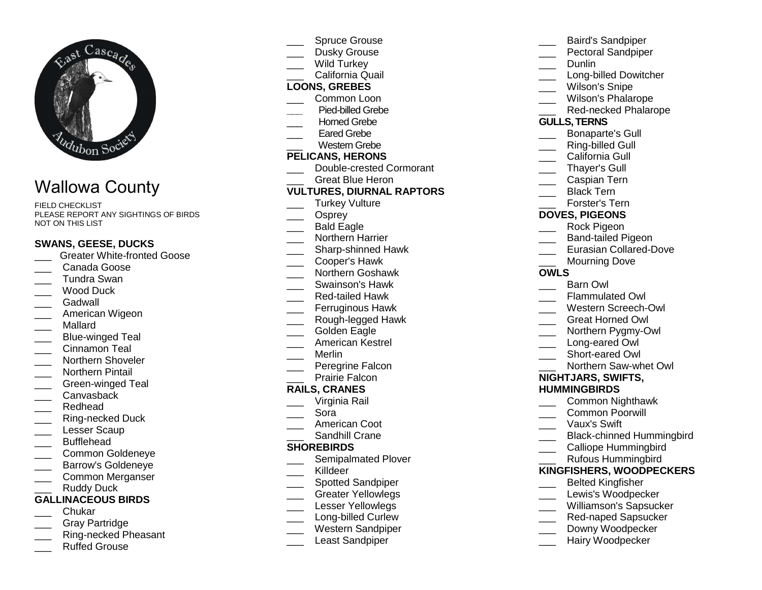

# Wallowa County

FIELD CHECKLIST PLEASE REPORT ANY SIGHTINGS OF BIRDS NOT ON THIS LIST

### **SWANS, GEESE, DUCKS**

- \_\_\_ Greater White-fronted Goose
- Canada Goose
- \_\_\_ Tundra Swan \_\_\_ Wood Duck
- \_\_\_ Gadwall
- \_\_\_ American Wigeon
- \_\_\_ Mallard
- \_\_\_ Blue-winged Teal
- Cinnamon Teal
- \_\_\_\_ Northern Shoveler
- \_\_\_ Northern Pintail
- \_\_\_ Green-winged Teal
- \_\_\_ Canvasback
- \_\_\_ Redhead
- \_\_\_ Ring-necked Duck
- Lesser Scaup
- \_\_\_ Bufflehead
- \_\_\_ Common Goldeneye
- \_\_\_ Barrow's Goldeneye
- \_\_\_ Common Merganser Ruddy Duck

# **GALLINACEOUS BIRDS**

- \_\_\_ Chukar
- \_\_\_ Gray Partridge
- \_\_\_ Ring-necked Pheasant
- Ruffed Grouse
- Spruce Grouse
- Dusky Grouse
- Wild Turkey
- \_\_\_ California Quail

## **LOONS, GREBES**

- \_\_\_ Common Loon
- **\_\_\_** Pied-billed Grebe
- Horned Grebe
- Eared Grebe
- \_\_\_ Western Grebe

### **PELICANS, HERONS**

- \_\_\_ Double-crested Cormorant
	- Great Blue Heron

## **VULTURES, DIURNAL RAPTORS**

- \_\_\_ Turkey Vulture
- Osprey
- \_\_\_ Bald Eagle
- \_\_\_ Northern Harrier
- \_\_\_\_ Sharp-shinned Hawk
- \_\_\_ Cooper's Hawk
- \_\_\_ Northern Goshawk
- \_\_\_ Swainson's Hawk
- \_\_\_ Red-tailed Hawk
- \_\_\_ Ferruginous Hawk
- \_\_\_ Rough-legged Hawk
- Golden Eagle
- \_\_\_ American Kestrel
- \_\_\_ Merlin
- \_\_\_ Peregrine Falcon
- Prairie Falcon

## **RAILS, CRANES**

- \_\_\_ Virginia Rail
- \_\_\_ Sora
- \_\_\_ American Coot
- \_\_\_ Sandhill Crane

#### **SHOREBIRDS**

- \_\_\_\_ Semipalmated Plover
- \_\_\_ Killdeer
- \_\_\_\_ Spotted Sandpiper
- \_\_\_ Greater Yellowlegs
- Lesser Yellowlegs
- \_\_\_\_ Long-billed Curlew
- \_\_\_ Western Sandpiper
- Least Sandpiper
- \_\_\_ Baird's Sandpiper \_\_\_ Pectoral Sandpiper Dunlin
	-
- \_\_\_\_ Long-billed Dowitcher
- Wilson's Snipe
- \_\_\_ Wilson's Phalarope
- \_\_\_ Red-necked Phalarope

#### **GULLS, TERNS**

- \_\_\_ Bonaparte's Gull
- Ring-billed Gull
- California Gull
- Thaver's Gull
- \_\_\_ Caspian Tern
- Black Tern
- \_\_\_ Forster's Tern

## **DOVES, PIGEONS**

- \_\_\_ Rock Pigeon
- \_\_\_ Band-tailed Pigeon
- \_\_\_ Eurasian Collared-Dove
	- Mourning Dove

#### **OWLS**

- \_\_\_ Barn Owl
- \_\_\_ Flammulated Owl
- \_\_\_ Western Screech-Owl
- \_\_\_ Great Horned Owl
- \_\_\_ Northern Pygmy-Owl
- Long-eared Owl
- \_\_\_ Short-eared Owl

**NIGHTJARS, SWIFTS, HUMMINGBIRDS**

 \_\_\_ Common Nighthawk \_\_\_ Common Poorwill \_\_\_ Vaux's Swift

\_\_\_ Black-chinned Hummingbird Calliope Hummingbird \_\_\_ Rufous Hummingbird **KINGFISHERS, WOODPECKERS**\_\_\_ Belted Kingfisher \_\_\_ Lewis's Woodpecker \_\_\_ Williamson's Sapsucker Red-naped Sapsucker Downy Woodpecker Hairy Woodpecker

\_\_\_ Northern Saw-whet Owl